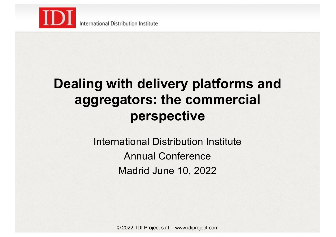

# **Dealing with delivery platforms and aggregators: the commercial perspective**

International Distribution Institute Annual Conference Madrid June 10, 2022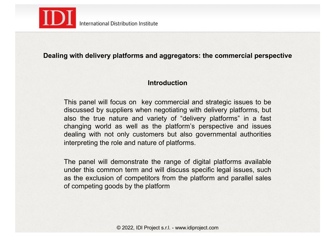

## **Dealing with delivery platforms and aggregators: the commercial perspective**

#### **Introduction**

This panel will focus on key commercial and strategic issues to be discussed by suppliers when negotiating with delivery platforms, but also the true nature and variety of "delivery platforms" in a fast changing world as well as the platform's perspective and issues dealing with not only customers but also governmental authorities interpreting the role and nature of platforms.

The panel will demonstrate the range of digital platforms available under this common term and will discuss specific legal issues, such as the exclusion of competitors from the platform and parallel sales of competing goods by the platform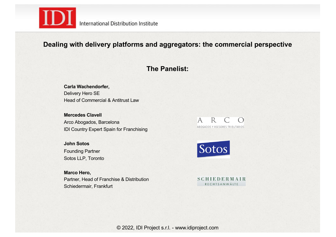

## **Dealing with delivery platforms and aggregators: the commercial perspective**

#### **The Panelist:**

**Carla Wachendorfer,**  Delivery Hero SE Head of Commercial & Antitrust Law

**Mercedes Clavell** Arco Abogados, Barcelona IDI Country Expert Spain for Franchising

**John Sotos** Founding Partner Sotos LLP, Toronto

**Marco Hero,**  Partner, Head of Franchise & Distribution Schiedermair, Frankfurt





**SCHIEDERMAIR** RECHTSANWÄLTE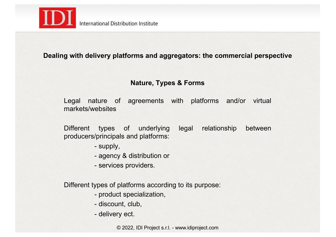

## **Dealing with delivery platforms and aggregators: the commercial perspective**

### **Nature, Types & Forms**

Legal nature of agreements with platforms and/or virtual markets/websites

Different types of underlying legal relationship between producers/principals and platforms:

- supply,
- agency & distribution or
- services providers.

Different types of platforms according to its purpose:

- product specialization,
- discount, club,
- delivery ect.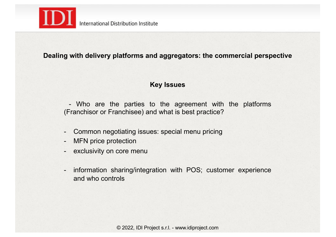

## **Dealing with delivery platforms and aggregators: the commercial perspective**

### **Key Issues**

- Who are the parties to the agreement with the platforms (Franchisor or Franchisee) and what is best practice?

- Common negotiating issues: special menu pricing
- MFN price protection
- exclusivity on core menu
- information sharing/integration with POS; customer experience and who controls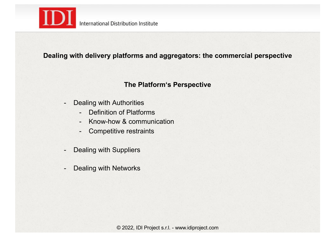

# **Dealing with delivery platforms and aggregators: the commercial perspective**

## **The Platform's Perspective**

- Dealing with Authorities
	- Definition of Platforms
	- Know-how & communication
	- Competitive restraints
- Dealing with Suppliers
- Dealing with Networks